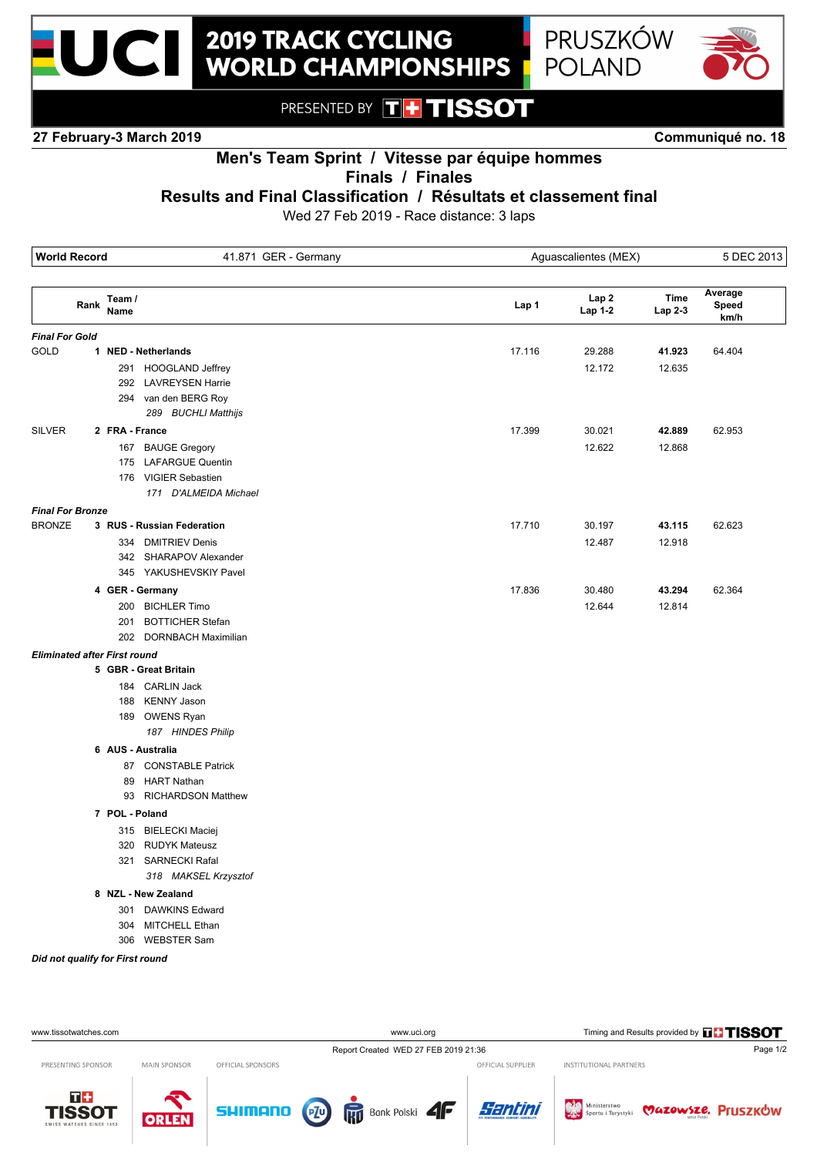



PRESENTED BY **TH TISSOT** 

**27 February-3 March 2019 Communiqué no. 18**

## **Men's Team Sprint / Vitesse par équipe hommes Finals / Finales**

## **Results and Final Classification / Résultats et classement final**

Wed 27 Feb 2019 - Race distance: 3 laps

| <b>World Record</b><br>41.871 GER - Germany |                   | Aguascalientes (MEX)       |        |         | 5 DEC 2013 |                  |
|---------------------------------------------|-------------------|----------------------------|--------|---------|------------|------------------|
|                                             | Team /<br>Rank    |                            | Lap 1  | Lap 2   | Time       | Average<br>Speed |
|                                             | Name              |                            |        | Lap 1-2 | Lap 2-3    | km/h             |
| <b>Final For Gold</b>                       |                   |                            |        |         |            |                  |
| GOLD                                        |                   | 1 NED - Netherlands        | 17.116 | 29.288  | 41.923     | 64.404           |
|                                             |                   | 291 HOOGLAND Jeffrey       |        | 12.172  | 12.635     |                  |
|                                             |                   | 292 LAVREYSEN Harrie       |        |         |            |                  |
|                                             |                   | 294 van den BERG Roy       |        |         |            |                  |
|                                             |                   | 289 BUCHLI Matthijs        |        |         |            |                  |
| <b>SILVER</b>                               | 2 FRA - France    |                            | 17.399 | 30.021  | 42.889     | 62.953           |
|                                             |                   | 167 BAUGE Gregory          |        | 12.622  | 12.868     |                  |
|                                             |                   | 175 LAFARGUE Quentin       |        |         |            |                  |
|                                             |                   | 176 VIGIER Sebastien       |        |         |            |                  |
|                                             |                   | 171 D'ALMEIDA Michael      |        |         |            |                  |
| <b>Final For Bronze</b>                     |                   |                            |        |         |            |                  |
| <b>BRONZE</b>                               |                   | 3 RUS - Russian Federation | 17.710 | 30.197  | 43.115     | 62.623           |
|                                             |                   | 334 DMITRIEV Denis         |        | 12.487  | 12.918     |                  |
|                                             |                   | 342 SHARAPOV Alexander     |        |         |            |                  |
|                                             |                   | 345 YAKUSHEVSKIY Pavel     |        |         |            |                  |
|                                             | 4 GER - Germany   |                            | 17.836 | 30.480  | 43.294     | 62.364           |
|                                             |                   | 200 BICHLER Timo           |        | 12.644  | 12.814     |                  |
|                                             | 201               | <b>BOTTICHER Stefan</b>    |        |         |            |                  |
|                                             |                   | 202 DORNBACH Maximilian    |        |         |            |                  |
| <b>Eliminated after First round</b>         |                   |                            |        |         |            |                  |
|                                             |                   | 5 GBR - Great Britain      |        |         |            |                  |
|                                             |                   | 184 CARLIN Jack            |        |         |            |                  |
|                                             |                   | 188 KENNY Jason            |        |         |            |                  |
|                                             |                   | 189 OWENS Ryan             |        |         |            |                  |
|                                             |                   | 187 HINDES Philip          |        |         |            |                  |
|                                             | 6 AUS - Australia |                            |        |         |            |                  |
|                                             |                   | 87 CONSTABLE Patrick       |        |         |            |                  |
|                                             |                   | 89 HART Nathan             |        |         |            |                  |
|                                             |                   | 93 RICHARDSON Matthew      |        |         |            |                  |
|                                             | 7 POL - Poland    |                            |        |         |            |                  |
|                                             |                   | 315 BIELECKI Maciej        |        |         |            |                  |
|                                             |                   | 320 RUDYK Mateusz          |        |         |            |                  |
|                                             | 321               | <b>SARNECKI Rafal</b>      |        |         |            |                  |
|                                             |                   | 318 MAKSEL Krzysztof       |        |         |            |                  |
|                                             |                   | 8 NZL - New Zealand        |        |         |            |                  |
|                                             | 301               | <b>DAWKINS Edward</b>      |        |         |            |                  |
|                                             |                   | 304 MITCHELL Ethan         |        |         |            |                  |
|                                             |                   | 306 WEBSTER Sam            |        |         |            |                  |

#### *Did not qualify for First round*

| www.tissotwatches.com                             |                     |                   | www.uci.org                                |                   | Timing and Results provided by THISSOT |          |  |
|---------------------------------------------------|---------------------|-------------------|--------------------------------------------|-------------------|----------------------------------------|----------|--|
|                                                   |                     |                   | Report Created WED 27 FEB 2019 21:36       |                   |                                        | Page 1/2 |  |
| PRESENTING SPONSOR                                | <b>MAIN SPONSOR</b> | OFFICIAL SPONSORS |                                            | OFFICIAL SUPPLIER | INSTITUTIONAL PARTNERS                 |          |  |
| $T+$<br><b>TISSOT</b><br>SWISS WATCHES SINCE 1853 | <b>ORLEN</b>        | <b>SHIMANO</b>    | $PZ^0$<br><b>Rup</b> Bank Polski <b>4F</b> | Santini           | Sportu i Turystyki Vazowsze. Pruszków  |          |  |